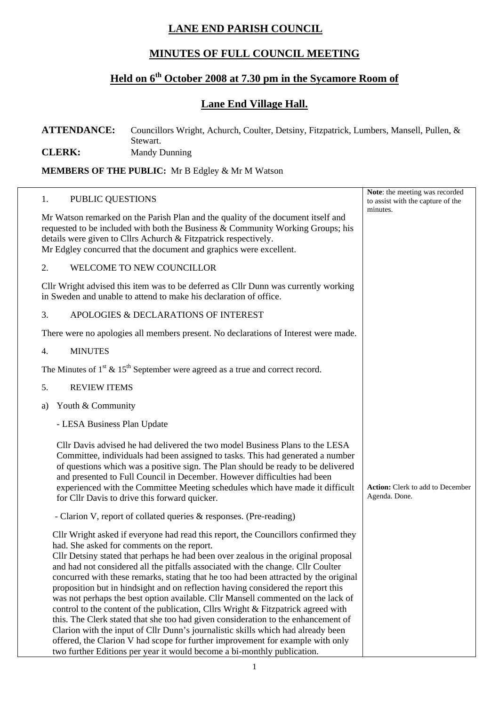## **LANE END PARISH COUNCIL**

## **MINUTES OF FULL COUNCIL MEETING**

# **Held on 6th October 2008 at 7.30 pm in the Sycamore Room of**

### **Lane End Village Hall.**

#### **ATTENDANCE:** Councillors Wright, Achurch, Coulter, Detsiny, Fitzpatrick, Lumbers, Mansell, Pullen, & Stewart. **CLERK:** Mandy Dunning

**MEMBERS OF THE PUBLIC:** Mr B Edgley & Mr M Watson

| 1.                                                                                                                                                                                                                                                                                                           | PUBLIC QUESTIONS                                                                                                                                                                                                                                                                                                                                                                                                                                                                                                                                                                                                                                                                                                                                                                                                                                                                                                                                                                                      | Note: the meeting was recorded<br>to assist with the capture of the |
|--------------------------------------------------------------------------------------------------------------------------------------------------------------------------------------------------------------------------------------------------------------------------------------------------------------|-------------------------------------------------------------------------------------------------------------------------------------------------------------------------------------------------------------------------------------------------------------------------------------------------------------------------------------------------------------------------------------------------------------------------------------------------------------------------------------------------------------------------------------------------------------------------------------------------------------------------------------------------------------------------------------------------------------------------------------------------------------------------------------------------------------------------------------------------------------------------------------------------------------------------------------------------------------------------------------------------------|---------------------------------------------------------------------|
| Mr Watson remarked on the Parish Plan and the quality of the document itself and<br>requested to be included with both the Business & Community Working Groups; his<br>details were given to Cllrs Achurch & Fitzpatrick respectively.<br>Mr Edgley concurred that the document and graphics were excellent. |                                                                                                                                                                                                                                                                                                                                                                                                                                                                                                                                                                                                                                                                                                                                                                                                                                                                                                                                                                                                       | minutes.                                                            |
| 2.                                                                                                                                                                                                                                                                                                           | WELCOME TO NEW COUNCILLOR                                                                                                                                                                                                                                                                                                                                                                                                                                                                                                                                                                                                                                                                                                                                                                                                                                                                                                                                                                             |                                                                     |
| Cllr Wright advised this item was to be deferred as Cllr Dunn was currently working<br>in Sweden and unable to attend to make his declaration of office.                                                                                                                                                     |                                                                                                                                                                                                                                                                                                                                                                                                                                                                                                                                                                                                                                                                                                                                                                                                                                                                                                                                                                                                       |                                                                     |
| 3.                                                                                                                                                                                                                                                                                                           | APOLOGIES & DECLARATIONS OF INTEREST                                                                                                                                                                                                                                                                                                                                                                                                                                                                                                                                                                                                                                                                                                                                                                                                                                                                                                                                                                  |                                                                     |
|                                                                                                                                                                                                                                                                                                              | There were no apologies all members present. No declarations of Interest were made.                                                                                                                                                                                                                                                                                                                                                                                                                                                                                                                                                                                                                                                                                                                                                                                                                                                                                                                   |                                                                     |
| 4.                                                                                                                                                                                                                                                                                                           | <b>MINUTES</b>                                                                                                                                                                                                                                                                                                                                                                                                                                                                                                                                                                                                                                                                                                                                                                                                                                                                                                                                                                                        |                                                                     |
| The Minutes of $1st \& 15th$ September were agreed as a true and correct record.                                                                                                                                                                                                                             |                                                                                                                                                                                                                                                                                                                                                                                                                                                                                                                                                                                                                                                                                                                                                                                                                                                                                                                                                                                                       |                                                                     |
| 5.                                                                                                                                                                                                                                                                                                           | <b>REVIEW ITEMS</b>                                                                                                                                                                                                                                                                                                                                                                                                                                                                                                                                                                                                                                                                                                                                                                                                                                                                                                                                                                                   |                                                                     |
| a)                                                                                                                                                                                                                                                                                                           | Youth & Community                                                                                                                                                                                                                                                                                                                                                                                                                                                                                                                                                                                                                                                                                                                                                                                                                                                                                                                                                                                     |                                                                     |
|                                                                                                                                                                                                                                                                                                              | - LESA Business Plan Update                                                                                                                                                                                                                                                                                                                                                                                                                                                                                                                                                                                                                                                                                                                                                                                                                                                                                                                                                                           |                                                                     |
|                                                                                                                                                                                                                                                                                                              | Cllr Davis advised he had delivered the two model Business Plans to the LESA<br>Committee, individuals had been assigned to tasks. This had generated a number<br>of questions which was a positive sign. The Plan should be ready to be delivered<br>and presented to Full Council in December. However difficulties had been<br>experienced with the Committee Meeting schedules which have made it difficult<br>for Cllr Davis to drive this forward quicker.                                                                                                                                                                                                                                                                                                                                                                                                                                                                                                                                      | <b>Action:</b> Clerk to add to December<br>Agenda. Done.            |
|                                                                                                                                                                                                                                                                                                              | - Clarion V, report of collated queries & responses. (Pre-reading)                                                                                                                                                                                                                                                                                                                                                                                                                                                                                                                                                                                                                                                                                                                                                                                                                                                                                                                                    |                                                                     |
|                                                                                                                                                                                                                                                                                                              | Cllr Wright asked if everyone had read this report, the Councillors confirmed they<br>had. She asked for comments on the report.<br>Cllr Detsiny stated that perhaps he had been over zealous in the original proposal<br>and had not considered all the pitfalls associated with the change. Cllr Coulter<br>concurred with these remarks, stating that he too had been attracted by the original<br>proposition but in hindsight and on reflection having considered the report this<br>was not perhaps the best option available. Cllr Mansell commented on the lack of<br>control to the content of the publication, Cllrs Wright & Fitzpatrick agreed with<br>this. The Clerk stated that she too had given consideration to the enhancement of<br>Clarion with the input of Cllr Dunn's journalistic skills which had already been<br>offered, the Clarion V had scope for further improvement for example with only<br>two further Editions per year it would become a bi-monthly publication. |                                                                     |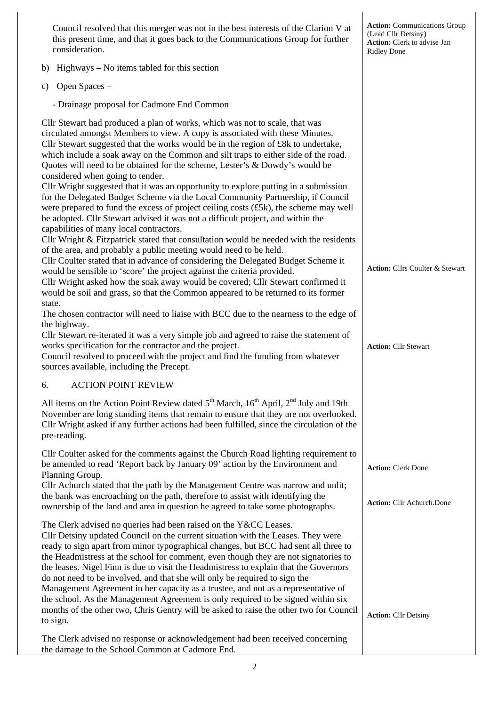| Council resolved that this merger was not in the best interests of the Clarion V at<br>this present time, and that it goes back to the Communications Group for further<br>consideration.                                                                                                                                                                                                                                                                                                                                                                                                                                                                                                                                                                                                                                                                 | <b>Action:</b> Communications Group<br>(Lead Cllr Detsiny)<br>Action: Clerk to advise Jan<br><b>Ridley Done</b> |
|-----------------------------------------------------------------------------------------------------------------------------------------------------------------------------------------------------------------------------------------------------------------------------------------------------------------------------------------------------------------------------------------------------------------------------------------------------------------------------------------------------------------------------------------------------------------------------------------------------------------------------------------------------------------------------------------------------------------------------------------------------------------------------------------------------------------------------------------------------------|-----------------------------------------------------------------------------------------------------------------|
| Highways – No items tabled for this section<br>b)                                                                                                                                                                                                                                                                                                                                                                                                                                                                                                                                                                                                                                                                                                                                                                                                         |                                                                                                                 |
| Open Spaces -<br>C)                                                                                                                                                                                                                                                                                                                                                                                                                                                                                                                                                                                                                                                                                                                                                                                                                                       |                                                                                                                 |
| - Drainage proposal for Cadmore End Common                                                                                                                                                                                                                                                                                                                                                                                                                                                                                                                                                                                                                                                                                                                                                                                                                |                                                                                                                 |
| Cllr Stewart had produced a plan of works, which was not to scale, that was<br>circulated amongst Members to view. A copy is associated with these Minutes.<br>Cllr Stewart suggested that the works would be in the region of £8k to undertake,<br>which include a soak away on the Common and silt traps to either side of the road.<br>Quotes will need to be obtained for the scheme, Lester's & Dowdy's would be<br>considered when going to tender.<br>Cllr Wright suggested that it was an opportunity to explore putting in a submission<br>for the Delegated Budget Scheme via the Local Community Partnership, if Council<br>were prepared to fund the excess of project ceiling costs (£5k), the scheme may well<br>be adopted. Cllr Stewart advised it was not a difficult project, and within the<br>capabilities of many local contractors. |                                                                                                                 |
| Cllr Wright & Fitzpatrick stated that consultation would be needed with the residents<br>of the area, and probably a public meeting would need to be held.<br>Cllr Coulter stated that in advance of considering the Delegated Budget Scheme it<br>would be sensible to 'score' the project against the criteria provided.<br>Cllr Wright asked how the soak away would be covered; Cllr Stewart confirmed it<br>would be soil and grass, so that the Common appeared to be returned to its former<br>state.<br>The chosen contractor will need to liaise with BCC due to the nearness to the edge of<br>the highway.                                                                                                                                                                                                                                     | Action: Cllrs Coulter & Stewart                                                                                 |
| Cllr Stewart re-iterated it was a very simple job and agreed to raise the statement of<br>works specification for the contractor and the project.<br>Council resolved to proceed with the project and find the funding from whatever<br>sources available, including the Precept.                                                                                                                                                                                                                                                                                                                                                                                                                                                                                                                                                                         | <b>Action: Cllr Stewart</b>                                                                                     |
| <b>ACTION POINT REVIEW</b><br>6.                                                                                                                                                                                                                                                                                                                                                                                                                                                                                                                                                                                                                                                                                                                                                                                                                          |                                                                                                                 |
| All items on the Action Point Review dated 5 <sup>th</sup> March, 16 <sup>th</sup> April, 2 <sup>nd</sup> July and 19th<br>November are long standing items that remain to ensure that they are not overlooked.<br>Cllr Wright asked if any further actions had been fulfilled, since the circulation of the<br>pre-reading.                                                                                                                                                                                                                                                                                                                                                                                                                                                                                                                              |                                                                                                                 |
| Cllr Coulter asked for the comments against the Church Road lighting requirement to<br>be amended to read 'Report back by January 09' action by the Environment and<br>Planning Group.<br>Cllr Achurch stated that the path by the Management Centre was narrow and unlit;                                                                                                                                                                                                                                                                                                                                                                                                                                                                                                                                                                                | <b>Action: Clerk Done</b>                                                                                       |
| the bank was encroaching on the path, therefore to assist with identifying the<br>ownership of the land and area in question he agreed to take some photographs.                                                                                                                                                                                                                                                                                                                                                                                                                                                                                                                                                                                                                                                                                          | Action: Cllr Achurch.Done                                                                                       |
| The Clerk advised no queries had been raised on the Y&CC Leases.<br>Cllr Detsiny updated Council on the current situation with the Leases. They were<br>ready to sign apart from minor typographical changes, but BCC had sent all three to<br>the Headmistress at the school for comment, even though they are not signatories to<br>the leases. Nigel Finn is due to visit the Headmistress to explain that the Governors<br>do not need to be involved, and that she will only be required to sign the<br>Management Agreement in her capacity as a trustee, and not as a representative of<br>the school. As the Management Agreement is only required to be signed within six<br>months of the other two, Chris Gentry will be asked to raise the other two for Council<br>to sign.                                                                  | <b>Action: Cllr Detsiny</b>                                                                                     |
| The Clerk advised no response or acknowledgement had been received concerning<br>the damage to the School Common at Cadmore End.                                                                                                                                                                                                                                                                                                                                                                                                                                                                                                                                                                                                                                                                                                                          |                                                                                                                 |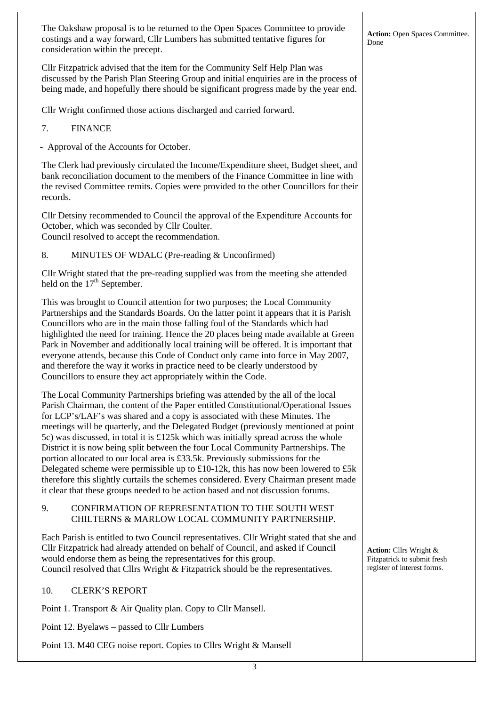3 The Oakshaw proposal is to be returned to the Open Spaces Committee to provide costings and a way forward, Cllr Lumbers has submitted tentative figures for consideration within the precept. Cllr Fitzpatrick advised that the item for the Community Self Help Plan was discussed by the Parish Plan Steering Group and initial enquiries are in the process of being made, and hopefully there should be significant progress made by the year end. Cllr Wright confirmed those actions discharged and carried forward. 7. FINANCE - Approval of the Accounts for October. The Clerk had previously circulated the Income/Expenditure sheet, Budget sheet, and bank reconciliation document to the members of the Finance Committee in line with the revised Committee remits. Copies were provided to the other Councillors for their records. Cllr Detsiny recommended to Council the approval of the Expenditure Accounts for October, which was seconded by Cllr Coulter. Council resolved to accept the recommendation. 8. MINUTES OF WDALC (Pre-reading & Unconfirmed) Cllr Wright stated that the pre-reading supplied was from the meeting she attended held on the  $17<sup>th</sup>$  September. This was brought to Council attention for two purposes; the Local Community Partnerships and the Standards Boards. On the latter point it appears that it is Parish Councillors who are in the main those falling foul of the Standards which had highlighted the need for training. Hence the 20 places being made available at Green Park in November and additionally local training will be offered. It is important that everyone attends, because this Code of Conduct only came into force in May 2007, and therefore the way it works in practice need to be clearly understood by Councillors to ensure they act appropriately within the Code. The Local Community Partnerships briefing was attended by the all of the local Parish Chairman, the content of the Paper entitled Constitutional/Operational Issues for LCP's/LAF's was shared and a copy is associated with these Minutes. The meetings will be quarterly, and the Delegated Budget (previously mentioned at point 5c) was discussed, in total it is £125k which was initially spread across the whole District it is now being split between the four Local Community Partnerships. The portion allocated to our local area is £33.5k. Previously submissions for the Delegated scheme were permissible up to  $\text{\pounds}10-12k$ , this has now been lowered to  $\text{\pounds}5k$ therefore this slightly curtails the schemes considered. Every Chairman present made it clear that these groups needed to be action based and not discussion forums. 9. CONFIRMATION OF REPRESENTATION TO THE SOUTH WEST CHILTERNS & MARLOW LOCAL COMMUNITY PARTNERSHIP. Each Parish is entitled to two Council representatives. Cllr Wright stated that she and Cllr Fitzpatrick had already attended on behalf of Council, and asked if Council would endorse them as being the representatives for this group. Council resolved that Cllrs Wright & Fitzpatrick should be the representatives. 10. CLERK'S REPORT Point 1. Transport & Air Quality plan. Copy to Cllr Mansell. Point 12. Byelaws – passed to Cllr Lumbers Point 13. M40 CEG noise report. Copies to Cllrs Wright & Mansell **Action:** Open Spaces Committee. Done **Action:** Cllrs Wright & Fitzpatrick to submit fresh register of interest forms.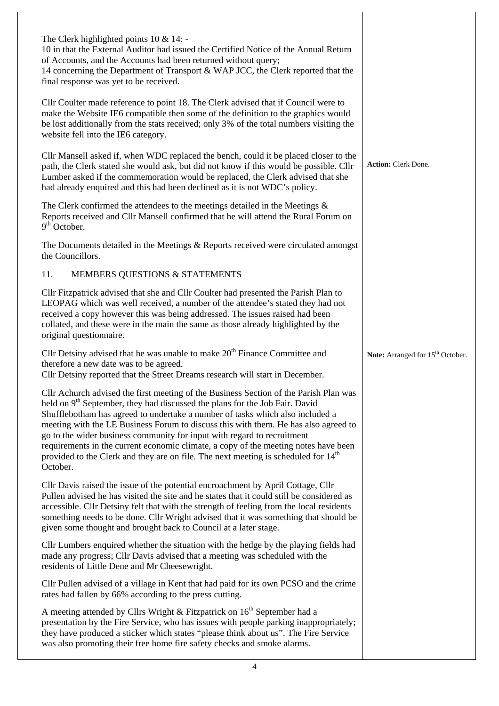| The Clerk highlighted points $10 \& 14$ :<br>10 in that the External Auditor had issued the Certified Notice of the Annual Return<br>of Accounts, and the Accounts had been returned without query;<br>14 concerning the Department of Transport & WAP JCC, the Clerk reported that the<br>final response was yet to be received.                                                                                                                                                                                                                                                                                                        |                                              |
|------------------------------------------------------------------------------------------------------------------------------------------------------------------------------------------------------------------------------------------------------------------------------------------------------------------------------------------------------------------------------------------------------------------------------------------------------------------------------------------------------------------------------------------------------------------------------------------------------------------------------------------|----------------------------------------------|
| Cllr Coulter made reference to point 18. The Clerk advised that if Council were to<br>make the Website IE6 compatible then some of the definition to the graphics would<br>be lost additionally from the stats received; only 3% of the total numbers visiting the<br>website fell into the IE6 category.                                                                                                                                                                                                                                                                                                                                |                                              |
| Cllr Mansell asked if, when WDC replaced the bench, could it be placed closer to the<br>path, the Clerk stated she would ask, but did not know if this would be possible. Cllr<br>Lumber asked if the commemoration would be replaced, the Clerk advised that she<br>had already enquired and this had been declined as it is not WDC's policy.                                                                                                                                                                                                                                                                                          | Action: Clerk Done.                          |
| The Clerk confirmed the attendees to the meetings detailed in the Meetings $\&$<br>Reports received and Cllr Mansell confirmed that he will attend the Rural Forum on<br>$9th$ October.                                                                                                                                                                                                                                                                                                                                                                                                                                                  |                                              |
| The Documents detailed in the Meetings $\&$ Reports received were circulated amongst<br>the Councillors.                                                                                                                                                                                                                                                                                                                                                                                                                                                                                                                                 |                                              |
| MEMBERS QUESTIONS & STATEMENTS<br>11.                                                                                                                                                                                                                                                                                                                                                                                                                                                                                                                                                                                                    |                                              |
| Cllr Fitzpatrick advised that she and Cllr Coulter had presented the Parish Plan to<br>LEOPAG which was well received, a number of the attendee's stated they had not<br>received a copy however this was being addressed. The issues raised had been<br>collated, and these were in the main the same as those already highlighted by the<br>original questionnaire.                                                                                                                                                                                                                                                                    |                                              |
| Cllr Detsiny advised that he was unable to make 20 <sup>th</sup> Finance Committee and<br>therefore a new date was to be agreed.<br>Cllr Detsiny reported that the Street Dreams research will start in December.                                                                                                                                                                                                                                                                                                                                                                                                                        | Note: Arranged for 15 <sup>th</sup> October. |
| Cllr Achurch advised the first meeting of the Business Section of the Parish Plan was<br>held on 9 <sup>th</sup> September, they had discussed the plans for the Job Fair. David<br>Shufflebotham has agreed to undertake a number of tasks which also included a<br>meeting with the LE Business Forum to discuss this with them. He has also agreed to<br>go to the wider business community for input with regard to recruitment<br>requirements in the current economic climate, a copy of the meeting notes have been<br>provided to the Clerk and they are on file. The next meeting is scheduled for 14 <sup>th</sup><br>October. |                                              |
| Cllr Davis raised the issue of the potential encroachment by April Cottage, Cllr<br>Pullen advised he has visited the site and he states that it could still be considered as<br>accessible. Cllr Detsiny felt that with the strength of feeling from the local residents<br>something needs to be done. Cllr Wright advised that it was something that should be<br>given some thought and brought back to Council at a later stage.                                                                                                                                                                                                    |                                              |
| Cllr Lumbers enquired whether the situation with the hedge by the playing fields had<br>made any progress; Cllr Davis advised that a meeting was scheduled with the<br>residents of Little Dene and Mr Cheesewright.                                                                                                                                                                                                                                                                                                                                                                                                                     |                                              |
|                                                                                                                                                                                                                                                                                                                                                                                                                                                                                                                                                                                                                                          |                                              |
| Cllr Pullen advised of a village in Kent that had paid for its own PCSO and the crime<br>rates had fallen by 66% according to the press cutting.                                                                                                                                                                                                                                                                                                                                                                                                                                                                                         |                                              |